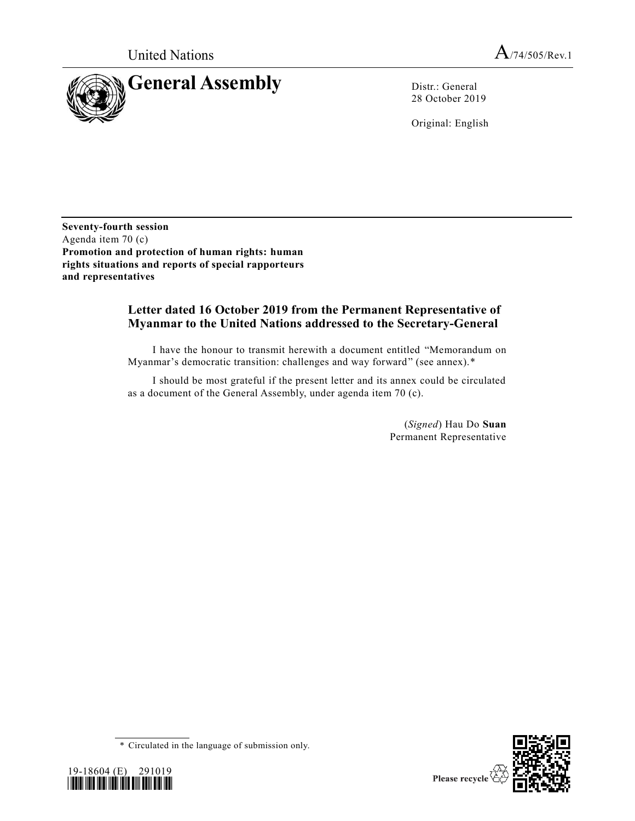United Nations  $A_{74/505/Rev.1}$ 



28 October 2019

Original: English

**Seventy-fourth session** Agenda item 70 (c) **Promotion and protection of human rights: human rights situations and reports of special rapporteurs and representatives**

# **Letter dated 16 October 2019 from the Permanent Representative of Myanmar to the United Nations addressed to the Secretary-General**

I have the honour to transmit herewith a document entitled "Memorandum on Myanmar's democratic transition: challenges and way forward" (see annex).\*

I should be most grateful if the present letter and its annex could be circulated as a document of the General Assembly, under agenda item 70 (c).

> (*Signed*) Hau Do **Suan** Permanent Representative





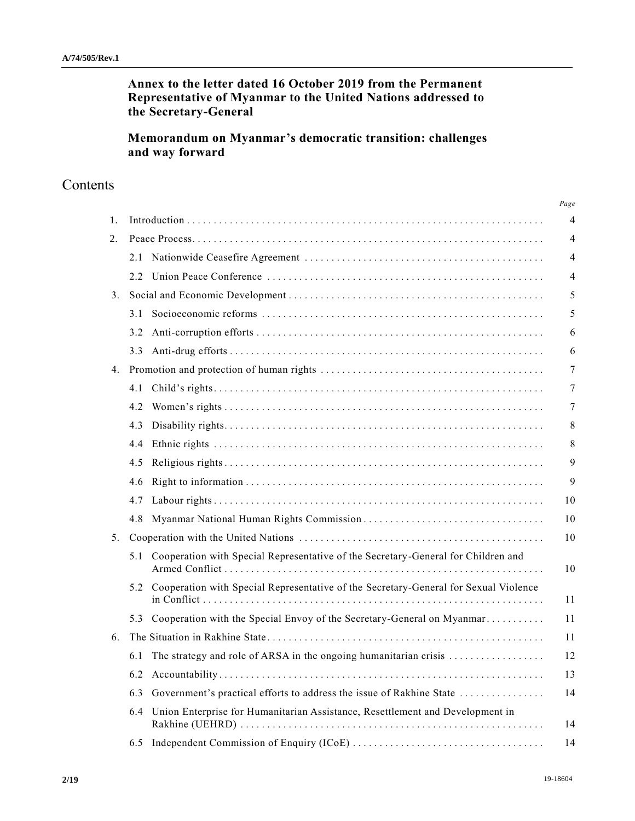**Annex to the letter dated 16 October 2019 from the Permanent Representative of Myanmar to the United Nations addressed to the Secretary-General** 

**Memorandum on Myanmar's democratic transition: challenges and way forward**

# **Contents**

|    |                                                                                          | Page           |
|----|------------------------------------------------------------------------------------------|----------------|
| 1. |                                                                                          | $\overline{4}$ |
| 2. |                                                                                          | 4              |
|    | 2.1                                                                                      | 4              |
|    | $2.2^{\circ}$                                                                            | 4              |
| 3. |                                                                                          | 5              |
|    | 3.1                                                                                      | 5              |
|    | 3.2                                                                                      | 6              |
|    | 3.3                                                                                      | 6              |
| 4. |                                                                                          | 7              |
|    | 4.1                                                                                      |                |
|    | 4.2                                                                                      |                |
|    | 4.3                                                                                      |                |
|    | 4.4                                                                                      |                |
|    | 4.5                                                                                      |                |
|    | 4.6                                                                                      |                |
|    | 4.7                                                                                      | 10             |
|    | 4.8                                                                                      | 10             |
| 5. |                                                                                          | 10             |
|    | Cooperation with Special Representative of the Secretary-General for Children and<br>5.1 | 10             |
|    | 5.2 Cooperation with Special Representative of the Secretary-General for Sexual Violence | 11             |
|    | Cooperation with the Special Envoy of the Secretary-General on Myanmar<br>5.3            | 11             |
| 6. |                                                                                          | 11             |
|    | The strategy and role of ARSA in the ongoing humanitarian crisis<br>6.1                  | 12             |
|    | 6.2                                                                                      | 13             |
|    | Government's practical efforts to address the issue of Rakhine State<br>6.3              | 14             |
|    | Union Enterprise for Humanitarian Assistance, Resettlement and Development in<br>6.4     | 14             |
|    | 6.5                                                                                      | 14             |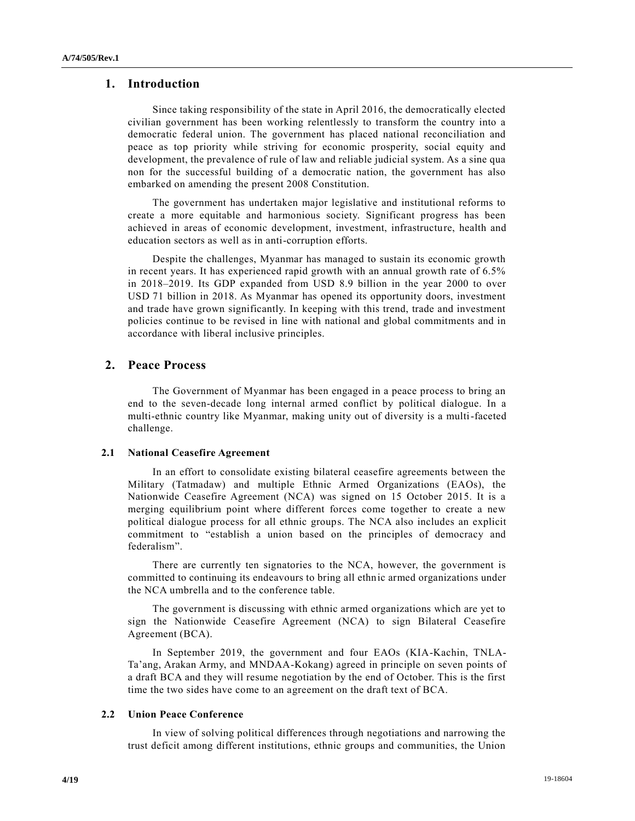# **1. Introduction**

Since taking responsibility of the state in April 2016, the democratically elected civilian government has been working relentlessly to transform the country into a democratic federal union. The government has placed national reconciliation and peace as top priority while striving for economic prosperity, social equity and development, the prevalence of rule of law and reliable judicial system. As a sine qua non for the successful building of a democratic nation, the government has also embarked on amending the present 2008 Constitution.

The government has undertaken major legislative and institutional reforms to create a more equitable and harmonious society. Significant progress has been achieved in areas of economic development, investment, infrastructure, health and education sectors as well as in anti-corruption efforts.

Despite the challenges, Myanmar has managed to sustain its economic growth in recent years. It has experienced rapid growth with an annual growth rate of 6.5% in 2018–2019. Its GDP expanded from USD 8.9 billion in the year 2000 to over USD 71 billion in 2018. As Myanmar has opened its opportunity doors, investment and trade have grown significantly. In keeping with this trend, trade and investment policies continue to be revised in line with national and global commitments and in accordance with liberal inclusive principles.

# **2. Peace Process**

The Government of Myanmar has been engaged in a peace process to bring an end to the seven-decade long internal armed conflict by political dialogue. In a multi-ethnic country like Myanmar, making unity out of diversity is a multi-faceted challenge.

## **2.1 National Ceasefire Agreement**

In an effort to consolidate existing bilateral ceasefire agreements between the Military (Tatmadaw) and multiple Ethnic Armed Organizations (EAOs), the Nationwide Ceasefire Agreement (NCA) was signed on 15 October 2015. It is a merging equilibrium point where different forces come together to create a new political dialogue process for all ethnic groups. The NCA also includes an explicit commitment to "establish a union based on the principles of democracy and federalism".

There are currently ten signatories to the NCA, however, the government is committed to continuing its endeavours to bring all ethnic armed organizations under the NCA umbrella and to the conference table.

The government is discussing with ethnic armed organizations which are yet to sign the Nationwide Ceasefire Agreement (NCA) to sign Bilateral Ceasefire Agreement (BCA).

In September 2019, the government and four EAOs (KIA-Kachin, TNLA-Ta'ang, Arakan Army, and MNDAA-Kokang) agreed in principle on seven points of a draft BCA and they will resume negotiation by the end of October. This is the first time the two sides have come to an agreement on the draft text of BCA.

## **2.2 Union Peace Conference**

In view of solving political differences through negotiations and narrowing the trust deficit among different institutions, ethnic groups and communities, the Union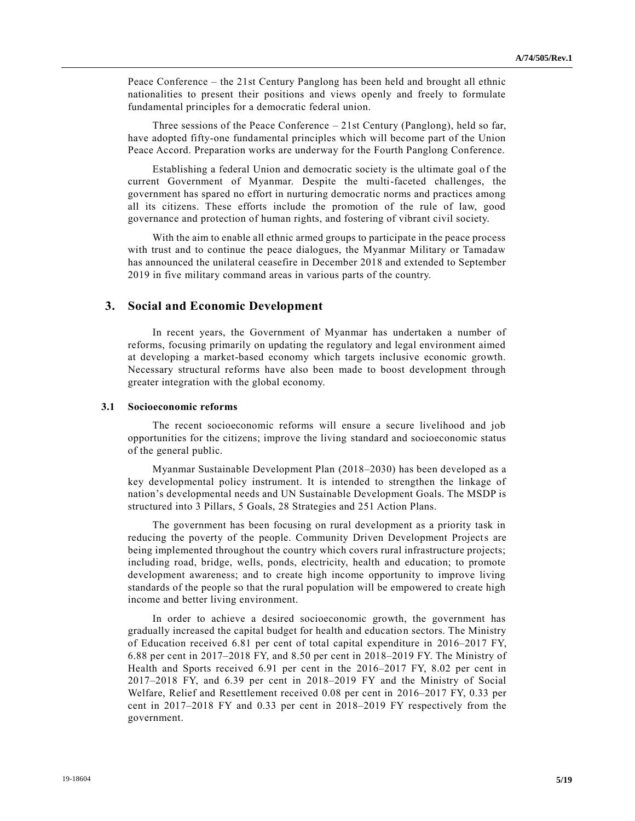Peace Conference – the 21st Century Panglong has been held and brought all ethnic nationalities to present their positions and views openly and freely to formulate fundamental principles for a democratic federal union.

Three sessions of the Peace Conference – 21st Century (Panglong), held so far, have adopted fifty-one fundamental principles which will become part of the Union Peace Accord. Preparation works are underway for the Fourth Panglong Conference.

Establishing a federal Union and democratic society is the ultimate goal o f the current Government of Myanmar. Despite the multi-faceted challenges, the government has spared no effort in nurturing democratic norms and practices among all its citizens. These efforts include the promotion of the rule of law, good governance and protection of human rights, and fostering of vibrant civil society.

With the aim to enable all ethnic armed groups to participate in the peace process with trust and to continue the peace dialogues, the Myanmar Military or Tamadaw has announced the unilateral ceasefire in December 2018 and extended to September 2019 in five military command areas in various parts of the country.

# **3. Social and Economic Development**

In recent years, the Government of Myanmar has undertaken a number of reforms, focusing primarily on updating the regulatory and legal environment aimed at developing a market-based economy which targets inclusive economic growth. Necessary structural reforms have also been made to boost development through greater integration with the global economy.

#### **3.1 Socioeconomic reforms**

The recent socioeconomic reforms will ensure a secure livelihood and job opportunities for the citizens; improve the living standard and socioeconomic status of the general public.

Myanmar Sustainable Development Plan (2018–2030) has been developed as a key developmental policy instrument. It is intended to strengthen the linkage of nation's developmental needs and UN Sustainable Development Goals. The MSDP is structured into 3 Pillars, 5 Goals, 28 Strategies and 251 Action Plans.

The government has been focusing on rural development as a priority task in reducing the poverty of the people. Community Driven Development Projects are being implemented throughout the country which covers rural infrastructure projects; including road, bridge, wells, ponds, electricity, health and education; to promote development awareness; and to create high income opportunity to improve living standards of the people so that the rural population will be empowered to create high income and better living environment.

In order to achieve a desired socioeconomic growth, the government has gradually increased the capital budget for health and education sectors. The Ministry of Education received 6.81 per cent of total capital expenditure in 2016–2017 FY, 6.88 per cent in 2017–2018 FY, and 8.50 per cent in 2018–2019 FY. The Ministry of Health and Sports received 6.91 per cent in the 2016–2017 FY, 8.02 per cent in 2017–2018 FY, and 6.39 per cent in 2018–2019 FY and the Ministry of Social Welfare, Relief and Resettlement received 0.08 per cent in 2016–2017 FY, 0.33 per cent in 2017–2018 FY and 0.33 per cent in 2018–2019 FY respectively from the government.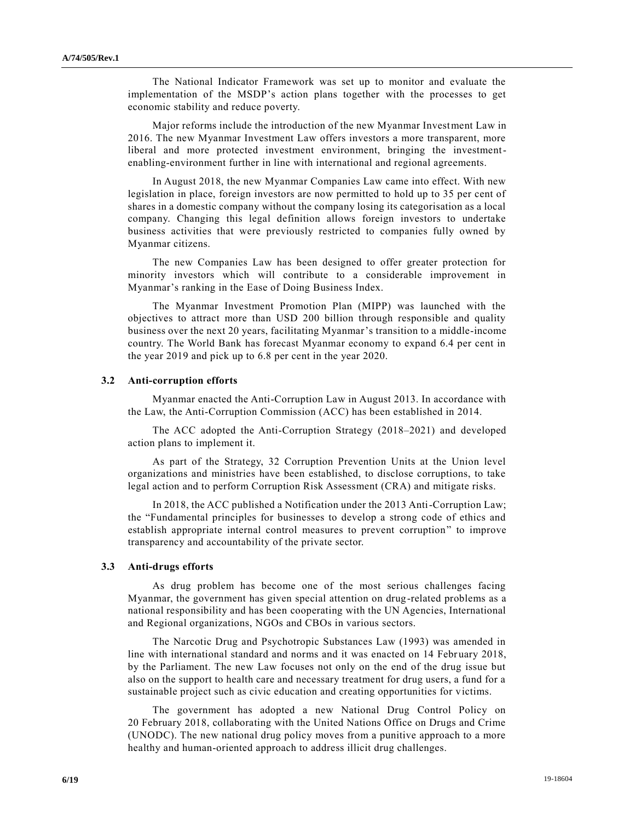The National Indicator Framework was set up to monitor and evaluate the implementation of the MSDP's action plans together with the processes to get economic stability and reduce poverty.

Major reforms include the introduction of the new Myanmar Investment Law in 2016. The new Myanmar Investment Law offers investors a more transparent, more liberal and more protected investment environment, bringing the investmentenabling-environment further in line with international and regional agreements.

In August 2018, the new Myanmar Companies Law came into effect. With new legislation in place, foreign investors are now permitted to hold up to 35 per cent of shares in a domestic company without the company losing its categorisation as a local company. Changing this legal definition allows foreign investors to undertake business activities that were previously restricted to companies fully owned by Myanmar citizens.

The new Companies Law has been designed to offer greater protection for minority investors which will contribute to a considerable improvement in Myanmar's ranking in the Ease of Doing Business Index.

The Myanmar Investment Promotion Plan (MIPP) was launched with the objectives to attract more than USD 200 billion through responsible and quality business over the next 20 years, facilitating Myanmar's transition to a middle-income country. The World Bank has forecast Myanmar economy to expand 6.4 per cent in the year 2019 and pick up to 6.8 per cent in the year 2020.

### **3.2 Anti-corruption efforts**

Myanmar enacted the Anti-Corruption Law in August 2013. In accordance with the Law, the Anti-Corruption Commission (ACC) has been established in 2014.

The ACC adopted the Anti-Corruption Strategy (2018–2021) and developed action plans to implement it.

As part of the Strategy, 32 Corruption Prevention Units at the Union level organizations and ministries have been established, to disclose corruptions, to take legal action and to perform Corruption Risk Assessment (CRA) and mitigate risks.

In 2018, the ACC published a Notification under the 2013 Anti-Corruption Law; the "Fundamental principles for businesses to develop a strong code of ethics and establish appropriate internal control measures to prevent corruption" to improve transparency and accountability of the private sector.

### **3.3 Anti-drugs efforts**

As drug problem has become one of the most serious challenges facing Myanmar, the government has given special attention on drug-related problems as a national responsibility and has been cooperating with the UN Agencies, International and Regional organizations, NGOs and CBOs in various sectors.

The Narcotic Drug and Psychotropic Substances Law (1993) was amended in line with international standard and norms and it was enacted on 14 February 2018, by the Parliament. The new Law focuses not only on the end of the drug issue but also on the support to health care and necessary treatment for drug users, a fund for a sustainable project such as civic education and creating opportunities for victims.

The government has adopted a new National Drug Control Policy on 20 February 2018, collaborating with the United Nations Office on Drugs and Crime (UNODC). The new national drug policy moves from a punitive approach to a more healthy and human-oriented approach to address illicit drug challenges.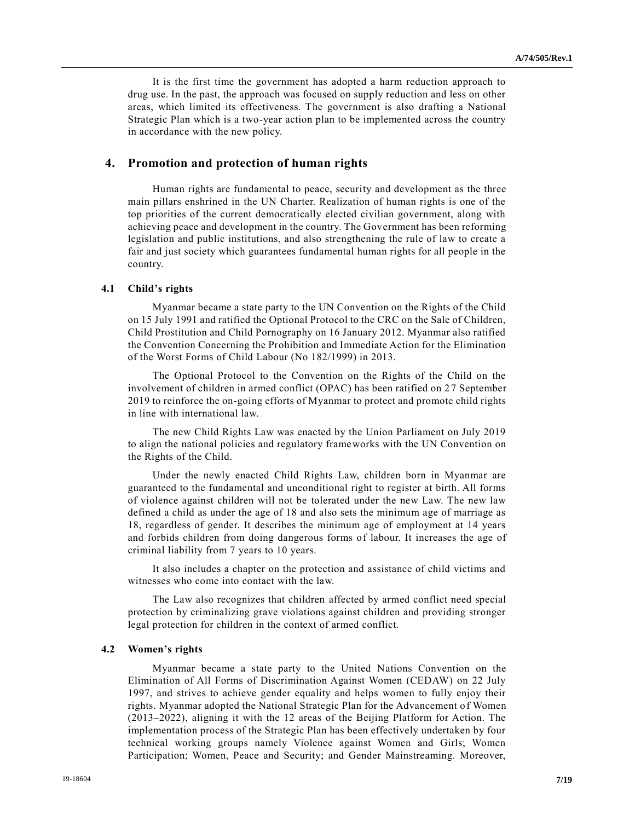It is the first time the government has adopted a harm reduction approach to drug use. In the past, the approach was focused on supply reduction and less on other areas, which limited its effectiveness. The government is also drafting a National Strategic Plan which is a two-year action plan to be implemented across the country in accordance with the new policy.

### **4. Promotion and protection of human rights**

Human rights are fundamental to peace, security and development as the three main pillars enshrined in the UN Charter. Realization of human rights is one of the top priorities of the current democratically elected civilian government, along with achieving peace and development in the country. The Government has been reforming legislation and public institutions, and also strengthening the rule of law to create a fair and just society which guarantees fundamental human rights for all people in the country.

# **4.1 Child's rights**

Myanmar became a state party to the UN Convention on the Rights of the Child on 15 July 1991 and ratified the Optional Protocol to the CRC on the Sale of Children, Child Prostitution and Child Pornography on 16 January 2012. Myanmar also ratified the Convention Concerning the Prohibition and Immediate Action for the Elimination of the Worst Forms of Child Labour (No 182/1999) in 2013.

The Optional Protocol to the Convention on the Rights of the Child on the involvement of children in armed conflict (OPAC) has been ratified on 27 September 2019 to reinforce the on-going efforts of Myanmar to protect and promote child rights in line with international law.

The new Child Rights Law was enacted by the Union Parliament on July 2019 to align the national policies and regulatory frameworks with the UN Convention on the Rights of the Child.

Under the newly enacted Child Rights Law, children born in Myanmar are guaranteed to the fundamental and unconditional right to register at birth. All forms of violence against children will not be tolerated under the new Law. The new law defined a child as under the age of 18 and also sets the minimum age of marriage as 18, regardless of gender. It describes the minimum age of employment at 14 years and forbids children from doing dangerous forms of labour. It increases the age of criminal liability from 7 years to 10 years.

It also includes a chapter on the protection and assistance of child victims and witnesses who come into contact with the law.

The Law also recognizes that children affected by armed conflict need special protection by criminalizing grave violations against children and providing stronger legal protection for children in the context of armed conflict.

#### **4.2 Women's rights**

Myanmar became a state party to the United Nations Convention on the Elimination of All Forms of Discrimination Against Women (CEDAW) on 22 July 1997, and strives to achieve gender equality and helps women to fully enjoy their rights. Myanmar adopted the National Strategic Plan for the Advancement o f Women (2013–2022), aligning it with the 12 areas of the Beijing Platform for Action. The implementation process of the Strategic Plan has been effectively undertaken by four technical working groups namely Violence against Women and Girls; Women Participation; Women, Peace and Security; and Gender Mainstreaming. Moreover,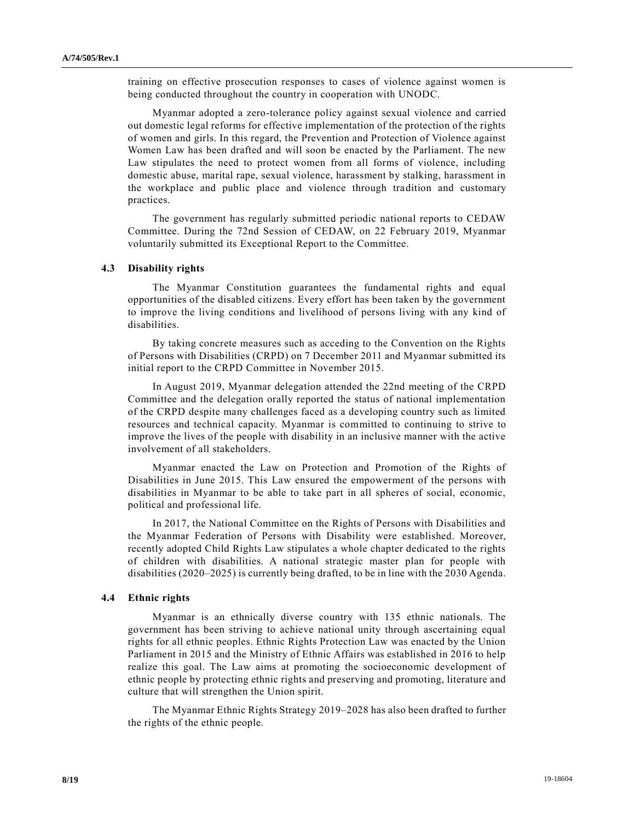training on effective prosecution responses to cases of violence against women is being conducted throughout the country in cooperation with UNODC.

Myanmar adopted a zero-tolerance policy against sexual violence and carried out domestic legal reforms for effective implementation of the protection of the rights of women and girls. In this regard, the Prevention and Protection of Violence against Women Law has been drafted and will soon be enacted by the Parliament. The new Law stipulates the need to protect women from all forms of violence, including domestic abuse, marital rape, sexual violence, harassment by stalking, harassment in the workplace and public place and violence through tradition and customary practices.

The government has regularly submitted periodic national reports to CEDAW Committee. During the 72nd Session of CEDAW, on 22 February 2019, Myanmar voluntarily submitted its Exceptional Report to the Committee.

# **4.3 Disability rights**

The Myanmar Constitution guarantees the fundamental rights and equal opportunities of the disabled citizens. Every effort has been taken by the government to improve the living conditions and livelihood of persons living with any kind of disabilities.

By taking concrete measures such as acceding to the Convention on the Rights of Persons with Disabilities (CRPD) on 7 December 2011 and Myanmar submitted its initial report to the CRPD Committee in November 2015.

In August 2019, Myanmar delegation attended the 22nd meeting of the CRPD Committee and the delegation orally reported the status of national implementation of the CRPD despite many challenges faced as a developing country such as limited resources and technical capacity. Myanmar is committed to continuing to strive to improve the lives of the people with disability in an inclusive manner with the active involvement of all stakeholders.

Myanmar enacted the Law on Protection and Promotion of the Rights of Disabilities in June 2015. This Law ensured the empowerment of the persons with disabilities in Myanmar to be able to take part in all spheres of social, economic, political and professional life.

In 2017, the National Committee on the Rights of Persons with Disabilities and the Myanmar Federation of Persons with Disability were established. Moreover, recently adopted Child Rights Law stipulates a whole chapter dedicated to the rights of children with disabilities. A national strategic master plan for people with disabilities (2020–2025) is currently being drafted, to be in line with the 2030 Agenda.

### **4.4 Ethnic rights**

Myanmar is an ethnically diverse country with 135 ethnic nationals. The government has been striving to achieve national unity through ascertaining equal rights for all ethnic peoples. Ethnic Rights Protection Law was enacted by the Union Parliament in 2015 and the Ministry of Ethnic Affairs was established in 2016 to help realize this goal. The Law aims at promoting the socioeconomic development of ethnic people by protecting ethnic rights and preserving and promoting, literature and culture that will strengthen the Union spirit.

The Myanmar Ethnic Rights Strategy 2019–2028 has also been drafted to further the rights of the ethnic people.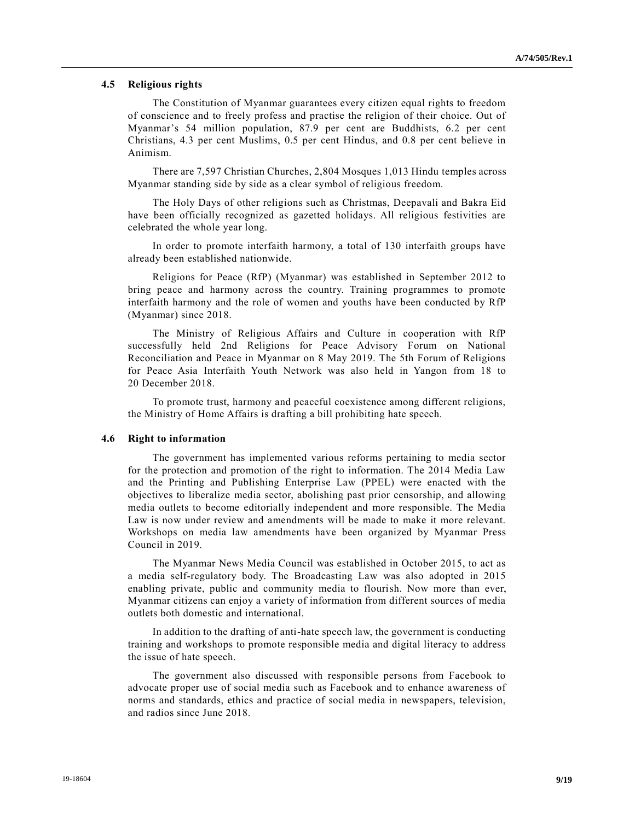### **4.5 Religious rights**

The Constitution of Myanmar guarantees every citizen equal rights to freedom of conscience and to freely profess and practise the religion of their choice. Out of Myanmar's 54 million population, 87.9 per cent are Buddhists, 6.2 per cent Christians, 4.3 per cent Muslims, 0.5 per cent Hindus, and 0.8 per cent believe in Animism.

There are 7,597 Christian Churches, 2,804 Mosques 1,013 Hindu temples across Myanmar standing side by side as a clear symbol of religious freedom.

The Holy Days of other religions such as Christmas, Deepavali and Bakra Eid have been officially recognized as gazetted holidays. All religious festivities are celebrated the whole year long.

In order to promote interfaith harmony, a total of 130 interfaith groups have already been established nationwide.

Religions for Peace (RfP) (Myanmar) was established in September 2012 to bring peace and harmony across the country. Training programmes to promote interfaith harmony and the role of women and youths have been conducted by RfP (Myanmar) since 2018.

The Ministry of Religious Affairs and Culture in cooperation with RfP successfully held 2nd Religions for Peace Advisory Forum on National Reconciliation and Peace in Myanmar on 8 May 2019. The 5th Forum of Religions for Peace Asia Interfaith Youth Network was also held in Yangon from 18 to 20 December 2018.

To promote trust, harmony and peaceful coexistence among different religions, the Ministry of Home Affairs is drafting a bill prohibiting hate speech.

### **4.6 Right to information**

The government has implemented various reforms pertaining to media sector for the protection and promotion of the right to information. The 2014 Media Law and the Printing and Publishing Enterprise Law (PPEL) were enacted with the objectives to liberalize media sector, abolishing past prior censorship, and allowing media outlets to become editorially independent and more responsible. The Media Law is now under review and amendments will be made to make it more relevant. Workshops on media law amendments have been organized by Myanmar Press Council in 2019.

The Myanmar News Media Council was established in October 2015, to act as a media self-regulatory body. The Broadcasting Law was also adopted in 2015 enabling private, public and community media to flourish. Now more than ever, Myanmar citizens can enjoy a variety of information from different sources of media outlets both domestic and international.

In addition to the drafting of anti-hate speech law, the government is conducting training and workshops to promote responsible media and digital literacy to address the issue of hate speech.

The government also discussed with responsible persons from Facebook to advocate proper use of social media such as Facebook and to enhance awareness of norms and standards, ethics and practice of social media in newspapers, television, and radios since June 2018.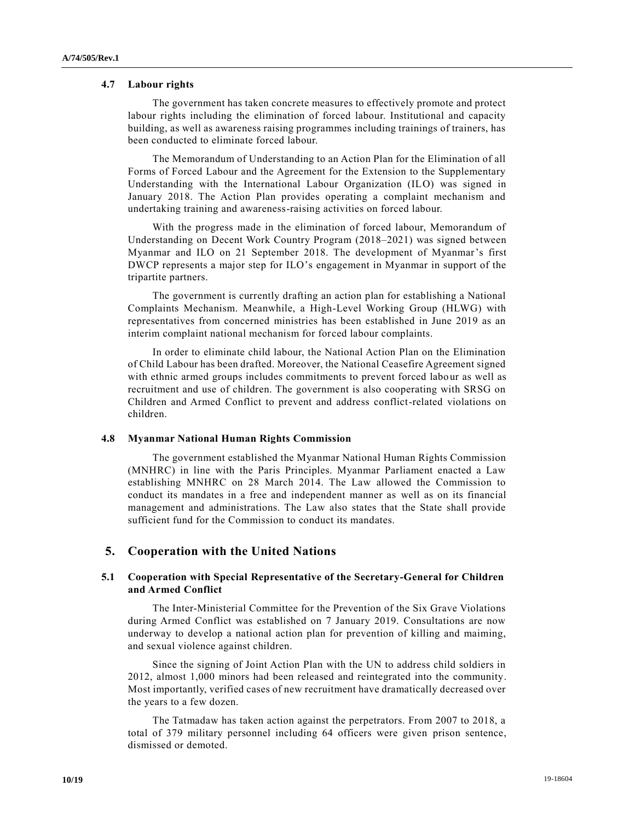### **4.7 Labour rights**

The government has taken concrete measures to effectively promote and protect labour rights including the elimination of forced labour. Institutional and capacity building, as well as awareness raising programmes including trainings of trainers, has been conducted to eliminate forced labour.

The Memorandum of Understanding to an Action Plan for the Elimination of all Forms of Forced Labour and the Agreement for the Extension to the Supplementary Understanding with the International Labour Organization (ILO) was signed in January 2018. The Action Plan provides operating a complaint mechanism and undertaking training and awareness-raising activities on forced labour.

With the progress made in the elimination of forced labour, Memorandum of Understanding on Decent Work Country Program (2018–2021) was signed between Myanmar and ILO on 21 September 2018. The development of Myanmar's first DWCP represents a major step for ILO's engagement in Myanmar in support of the tripartite partners.

The government is currently drafting an action plan for establishing a National Complaints Mechanism. Meanwhile, a High-Level Working Group (HLWG) with representatives from concerned ministries has been established in June 2019 as an interim complaint national mechanism for forced labour complaints.

In order to eliminate child labour, the National Action Plan on the Elimination of Child Labour has been drafted. Moreover, the National Ceasefire Agreement signed with ethnic armed groups includes commitments to prevent forced labour as well as recruitment and use of children. The government is also cooperating with SRSG on Children and Armed Conflict to prevent and address conflict-related violations on children.

## **4.8 Myanmar National Human Rights Commission**

The government established the Myanmar National Human Rights Commission (MNHRC) in line with the Paris Principles. Myanmar Parliament enacted a Law establishing MNHRC on 28 March 2014. The Law allowed the Commission to conduct its mandates in a free and independent manner as well as on its financial management and administrations. The Law also states that the State shall provide sufficient fund for the Commission to conduct its mandates.

# **5. Cooperation with the United Nations**

# **5.1 Cooperation with Special Representative of the Secretary-General for Children and Armed Conflict**

The Inter-Ministerial Committee for the Prevention of the Six Grave Violations during Armed Conflict was established on 7 January 2019. Consultations are now underway to develop a national action plan for prevention of killing and maiming, and sexual violence against children.

Since the signing of Joint Action Plan with the UN to address child soldiers in 2012, almost 1,000 minors had been released and reintegrated into the community. Most importantly, verified cases of new recruitment have dramatically decreased over the years to a few dozen.

The Tatmadaw has taken action against the perpetrators. From 2007 to 2018, a total of 379 military personnel including 64 officers were given prison sentence, dismissed or demoted.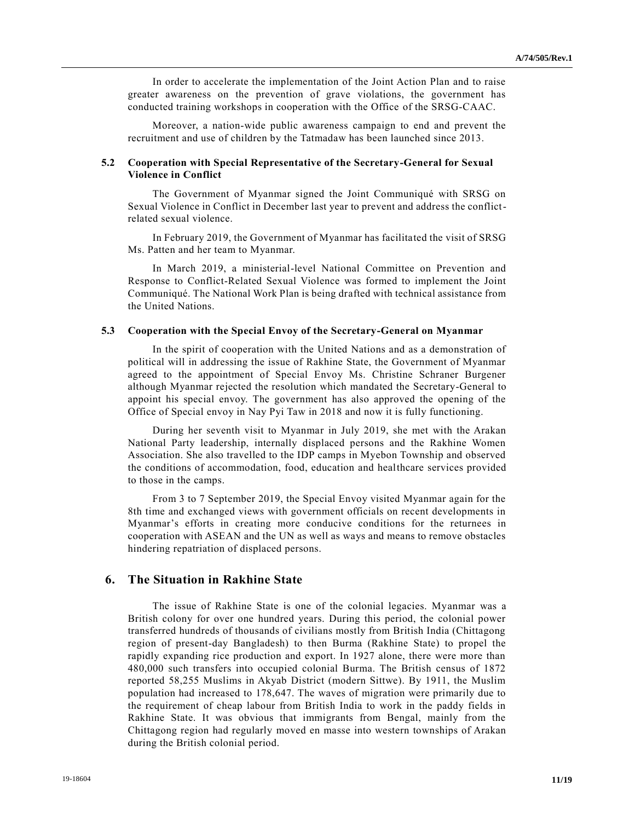In order to accelerate the implementation of the Joint Action Plan and to raise greater awareness on the prevention of grave violations, the government has conducted training workshops in cooperation with the Office of the SRSG-CAAC.

Moreover, a nation-wide public awareness campaign to end and prevent the recruitment and use of children by the Tatmadaw has been launched since 2013.

# **5.2 Cooperation with Special Representative of the Secretary-General for Sexual Violence in Conflict**

The Government of Myanmar signed the Joint Communiqué with SRSG on Sexual Violence in Conflict in December last year to prevent and address the conflictrelated sexual violence.

In February 2019, the Government of Myanmar has facilitated the visit of SRSG Ms. Patten and her team to Myanmar.

In March 2019, a ministerial-level National Committee on Prevention and Response to Conflict-Related Sexual Violence was formed to implement the Joint Communiqué. The National Work Plan is being drafted with technical assistance from the United Nations.

## **5.3 Cooperation with the Special Envoy of the Secretary-General on Myanmar**

In the spirit of cooperation with the United Nations and as a demonstration of political will in addressing the issue of Rakhine State, the Government of Myanmar agreed to the appointment of Special Envoy Ms. Christine Schraner Burgener although Myanmar rejected the resolution which mandated the Secretary-General to appoint his special envoy. The government has also approved the opening of the Office of Special envoy in Nay Pyi Taw in 2018 and now it is fully functioning.

During her seventh visit to Myanmar in July 2019, she met with the Arakan National Party leadership, internally displaced persons and the Rakhine Women Association. She also travelled to the IDP camps in Myebon Township and observed the conditions of accommodation, food, education and healthcare services provided to those in the camps.

From 3 to 7 September 2019, the Special Envoy visited Myanmar again for the 8th time and exchanged views with government officials on recent developments in Myanmar's efforts in creating more conducive conditions for the returnees in cooperation with ASEAN and the UN as well as ways and means to remove obstacles hindering repatriation of displaced persons.

# **6. The Situation in Rakhine State**

The issue of Rakhine State is one of the colonial legacies. Myanmar was a British colony for over one hundred years. During this period, the colonial power transferred hundreds of thousands of civilians mostly from British India (Chittagong region of present-day Bangladesh) to then Burma (Rakhine State) to propel the rapidly expanding rice production and export. In 1927 alone, there were more than 480,000 such transfers into occupied colonial Burma. The British census of 1872 reported 58,255 Muslims in Akyab District (modern Sittwe). By 1911, the Muslim population had increased to 178,647. The waves of migration were primarily due to the requirement of cheap labour from British India to work in the paddy fields in Rakhine State. It was obvious that immigrants from Bengal, mainly from the Chittagong region had regularly moved en masse into western townships of Arakan during the British colonial period.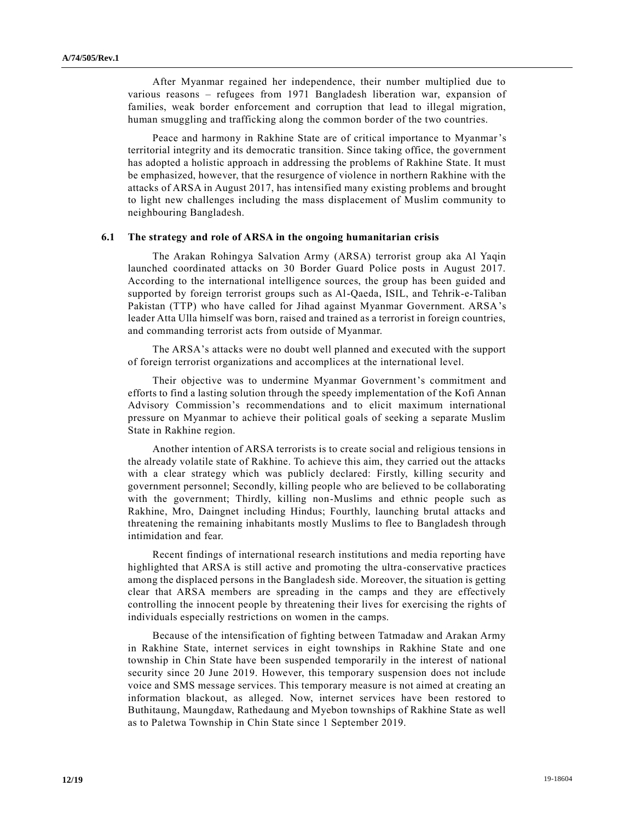After Myanmar regained her independence, their number multiplied due to various reasons – refugees from 1971 Bangladesh liberation war, expansion of families, weak border enforcement and corruption that lead to illegal migration, human smuggling and trafficking along the common border of the two countries.

Peace and harmony in Rakhine State are of critical importance to Myanmar's territorial integrity and its democratic transition. Since taking office, the government has adopted a holistic approach in addressing the problems of Rakhine State. It must be emphasized, however, that the resurgence of violence in northern Rakhine with the attacks of ARSA in August 2017, has intensified many existing problems and brought to light new challenges including the mass displacement of Muslim community to neighbouring Bangladesh.

### **6.1 The strategy and role of ARSA in the ongoing humanitarian crisis**

The Arakan Rohingya Salvation Army (ARSA) terrorist group aka Al Yaqin launched coordinated attacks on 30 Border Guard Police posts in August 2017. According to the international intelligence sources, the group has been guided and supported by foreign terrorist groups such as Al-Qaeda, ISIL, and Tehrik-e-Taliban Pakistan (TTP) who have called for Jihad against Myanmar Government. ARSA's leader Atta Ulla himself was born, raised and trained as a terrorist in foreign countries, and commanding terrorist acts from outside of Myanmar.

The ARSA's attacks were no doubt well planned and executed with the support of foreign terrorist organizations and accomplices at the international level.

Their objective was to undermine Myanmar Government's commitment and efforts to find a lasting solution through the speedy implementation of the Kofi Annan Advisory Commission's recommendations and to elicit maximum international pressure on Myanmar to achieve their political goals of seeking a separate Muslim State in Rakhine region.

Another intention of ARSA terrorists is to create social and religious tensions in the already volatile state of Rakhine. To achieve this aim, they carried out the attacks with a clear strategy which was publicly declared: Firstly, killing security and government personnel; Secondly, killing people who are believed to be collaborating with the government; Thirdly, killing non-Muslims and ethnic people such as Rakhine, Mro, Daingnet including Hindus; Fourthly, launching brutal attacks and threatening the remaining inhabitants mostly Muslims to flee to Bangladesh through intimidation and fear.

Recent findings of international research institutions and media reporting have highlighted that ARSA is still active and promoting the ultra -conservative practices among the displaced persons in the Bangladesh side. Moreover, the situation is getting clear that ARSA members are spreading in the camps and they are effectively controlling the innocent people by threatening their lives for exercising the rights of individuals especially restrictions on women in the camps.

Because of the intensification of fighting between Tatmadaw and Arakan Army in Rakhine State, internet services in eight townships in Rakhine State and one township in Chin State have been suspended temporarily in the interest of national security since 20 June 2019. However, this temporary suspension does not include voice and SMS message services. This temporary measure is not aimed at creating an information blackout, as alleged. Now, internet services have been restored to Buthitaung, Maungdaw, Rathedaung and Myebon townships of Rakhine State as well as to Paletwa Township in Chin State since 1 September 2019.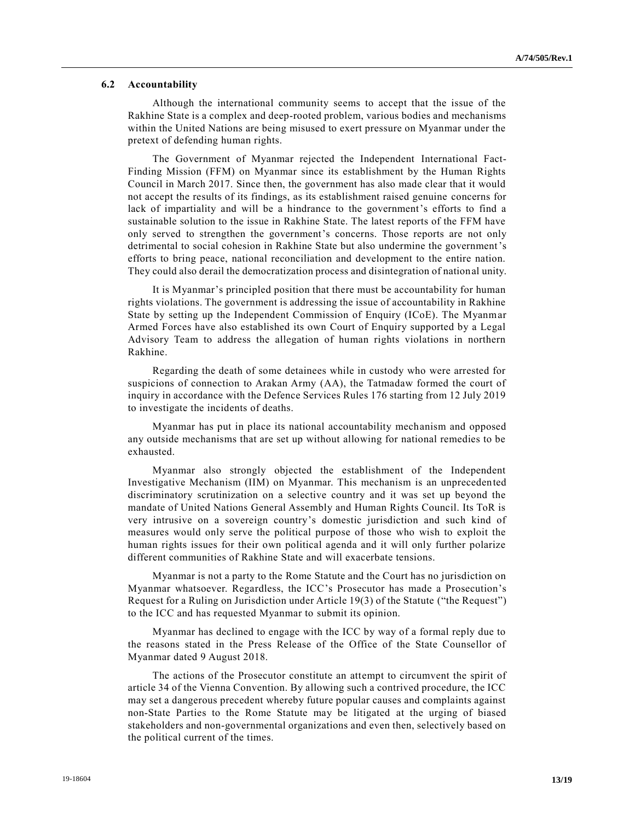### **6.2 Accountability**

Although the international community seems to accept that the issue of the Rakhine State is a complex and deep-rooted problem, various bodies and mechanisms within the United Nations are being misused to exert pressure on Myanmar under the pretext of defending human rights.

The Government of Myanmar rejected the Independent International Fact-Finding Mission (FFM) on Myanmar since its establishment by the Human Rights Council in March 2017. Since then, the government has also made clear that it would not accept the results of its findings, as its establishment raised genuine concerns for lack of impartiality and will be a hindrance to the government's efforts to find a sustainable solution to the issue in Rakhine State. The latest reports of the FFM have only served to strengthen the government's concerns. Those reports are not only detrimental to social cohesion in Rakhine State but also undermine the government's efforts to bring peace, national reconciliation and development to the entire nation. They could also derail the democratization process and disintegration of national unity.

It is Myanmar's principled position that there must be accountability for human rights violations. The government is addressing the issue of accountability in Rakhine State by setting up the Independent Commission of Enquiry (ICoE). The Myanmar Armed Forces have also established its own Court of Enquiry supported by a Legal Advisory Team to address the allegation of human rights violations in northern Rakhine.

Regarding the death of some detainees while in custody who were arrested for suspicions of connection to Arakan Army (AA), the Tatmadaw formed the court of inquiry in accordance with the Defence Services Rules 176 starting from 12 July 2019 to investigate the incidents of deaths.

Myanmar has put in place its national accountability mechanism and opposed any outside mechanisms that are set up without allowing for national remedies to be exhausted.

Myanmar also strongly objected the establishment of the Independent Investigative Mechanism (IIM) on Myanmar. This mechanism is an unprecedented discriminatory scrutinization on a selective country and it was set up beyond the mandate of United Nations General Assembly and Human Rights Council. Its ToR is very intrusive on a sovereign country's domestic jurisdiction and such kind of measures would only serve the political purpose of those who wish to exploit the human rights issues for their own political agenda and it will only further polarize different communities of Rakhine State and will exacerbate tensions.

Myanmar is not a party to the Rome Statute and the Court has no jurisdiction on Myanmar whatsoever. Regardless, the ICC's Prosecutor has made a Prosecution's Request for a Ruling on Jurisdiction under Article 19(3) of the Statute ("the Request") to the ICC and has requested Myanmar to submit its opinion.

Myanmar has declined to engage with the ICC by way of a formal reply due to the reasons stated in the Press Release of the Office of the State Counsellor of Myanmar dated 9 August 2018.

The actions of the Prosecutor constitute an attempt to circumvent the spirit of article 34 of the Vienna Convention. By allowing such a contrived procedure, the ICC may set a dangerous precedent whereby future popular causes and complaints against non-State Parties to the Rome Statute may be litigated at the urging of biased stakeholders and non-governmental organizations and even then, selectively based on the political current of the times.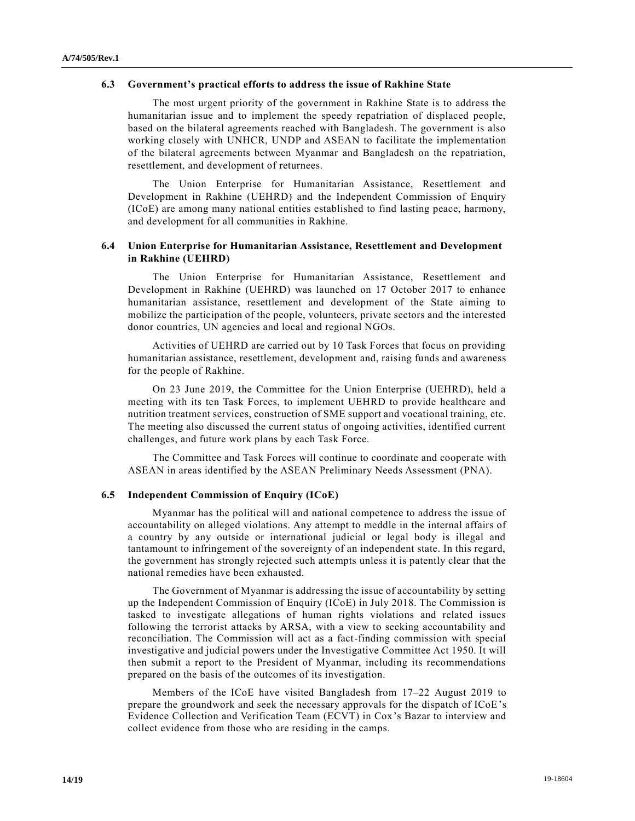### **6.3 Government's practical efforts to address the issue of Rakhine State**

The most urgent priority of the government in Rakhine State is to address the humanitarian issue and to implement the speedy repatriation of displaced people, based on the bilateral agreements reached with Bangladesh. The government is also working closely with UNHCR, UNDP and ASEAN to facilitate the implementation of the bilateral agreements between Myanmar and Bangladesh on the repatriation, resettlement, and development of returnees.

The Union Enterprise for Humanitarian Assistance, Resettlement and Development in Rakhine (UEHRD) and the Independent Commission of Enquiry (ICoE) are among many national entities established to find lasting peace, harmony, and development for all communities in Rakhine.

# **6.4 Union Enterprise for Humanitarian Assistance, Resettlement and Development in Rakhine (UEHRD)**

The Union Enterprise for Humanitarian Assistance, Resettlement and Development in Rakhine (UEHRD) was launched on 17 October 2017 to enhance humanitarian assistance, resettlement and development of the State aiming to mobilize the participation of the people, volunteers, private sectors and the interested donor countries, UN agencies and local and regional NGOs.

Activities of UEHRD are carried out by 10 Task Forces that focus on providing humanitarian assistance, resettlement, development and, raising funds and awareness for the people of Rakhine.

On 23 June 2019, the Committee for the Union Enterprise (UEHRD), held a meeting with its ten Task Forces, to implement UEHRD to provide healthcare and nutrition treatment services, construction of SME support and vocational training, etc. The meeting also discussed the current status of ongoing activities, identified current challenges, and future work plans by each Task Force.

The Committee and Task Forces will continue to coordinate and cooper ate with ASEAN in areas identified by the ASEAN Preliminary Needs Assessment (PNA).

### **6.5 Independent Commission of Enquiry (ICoE)**

Myanmar has the political will and national competence to address the issue of accountability on alleged violations. Any attempt to meddle in the internal affairs of a country by any outside or international judicial or legal body is illegal and tantamount to infringement of the sovereignty of an independent state. In this regard, the government has strongly rejected such attempts unless it is patently clear that the national remedies have been exhausted.

The Government of Myanmar is addressing the issue of accountability by setting up the Independent Commission of Enquiry (ICoE) in July 2018. The Commission is tasked to investigate allegations of human rights violations and related issues following the terrorist attacks by ARSA, with a view to seeking accountability and reconciliation. The Commission will act as a fact-finding commission with special investigative and judicial powers under the Investigative Committee Act 1950. It will then submit a report to the President of Myanmar, including its recommendations prepared on the basis of the outcomes of its investigation.

Members of the ICoE have visited Bangladesh from 17–22 August 2019 to prepare the groundwork and seek the necessary approvals for the dispatch of ICoE's Evidence Collection and Verification Team (ECVT) in Cox's Bazar to interview and collect evidence from those who are residing in the camps.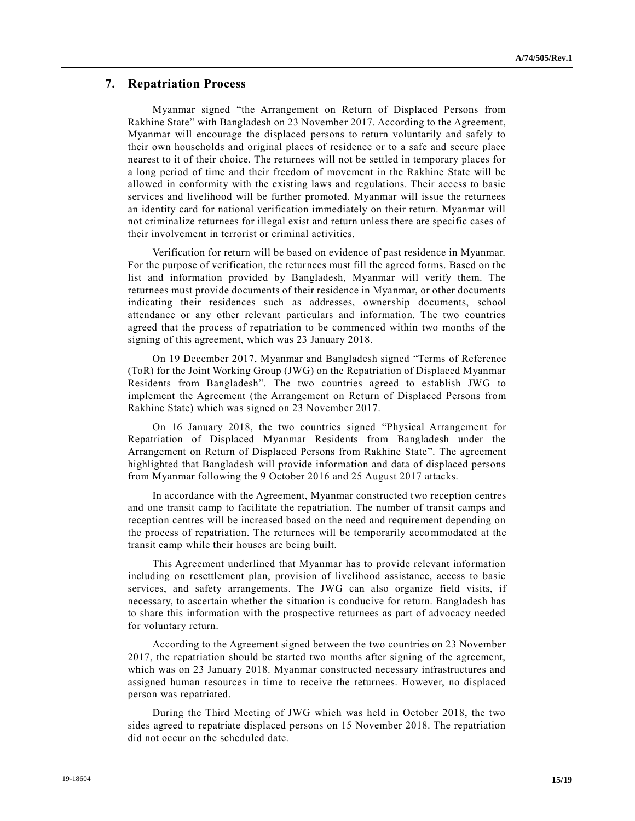# **7. Repatriation Process**

Myanmar signed "the Arrangement on Return of Displaced Persons from Rakhine State" with Bangladesh on 23 November 2017. According to the Agreement, Myanmar will encourage the displaced persons to return voluntarily and safely to their own households and original places of residence or to a safe and secure place nearest to it of their choice. The returnees will not be settled in temporary places for a long period of time and their freedom of movement in the Rakhine State will be allowed in conformity with the existing laws and regulations. Their access to basic services and livelihood will be further promoted. Myanmar will issue the returnees an identity card for national verification immediately on their return. Myanmar will not criminalize returnees for illegal exist and return unless there are specific cases of their involvement in terrorist or criminal activities.

Verification for return will be based on evidence of past residence in Myanmar. For the purpose of verification, the returnees must fill the agreed forms. Based on the list and information provided by Bangladesh, Myanmar will verify them. The returnees must provide documents of their residence in Myanmar, or other documents indicating their residences such as addresses, ownership documents, school attendance or any other relevant particulars and information. The two countries agreed that the process of repatriation to be commenced within two months of the signing of this agreement, which was 23 January 2018.

On 19 December 2017, Myanmar and Bangladesh signed "Terms of Reference (ToR) for the Joint Working Group (JWG) on the Repatriation of Displaced Myanmar Residents from Bangladesh". The two countries agreed to establish JWG to implement the Agreement (the Arrangement on Return of Displaced Persons from Rakhine State) which was signed on 23 November 2017.

On 16 January 2018, the two countries signed "Physical Arrangement for Repatriation of Displaced Myanmar Residents from Bangladesh under the Arrangement on Return of Displaced Persons from Rakhine State". The agreement highlighted that Bangladesh will provide information and data of displaced persons from Myanmar following the 9 October 2016 and 25 August 2017 attacks.

In accordance with the Agreement, Myanmar constructed two reception centres and one transit camp to facilitate the repatriation. The number of transit camps and reception centres will be increased based on the need and requirement depending on the process of repatriation. The returnees will be temporarily accommodated at the transit camp while their houses are being built.

This Agreement underlined that Myanmar has to provide relevant information including on resettlement plan, provision of livelihood assistance, access to basic services, and safety arrangements. The JWG can also organize field visits, if necessary, to ascertain whether the situation is conducive for return. Bangladesh has to share this information with the prospective returnees as part of advocacy needed for voluntary return.

According to the Agreement signed between the two countries on 23 November 2017, the repatriation should be started two months after signing of the agreement, which was on 23 January 2018. Myanmar constructed necessary infrastructures and assigned human resources in time to receive the returnees. However, no displaced person was repatriated.

During the Third Meeting of JWG which was held in October 2018, the two sides agreed to repatriate displaced persons on 15 November 2018. The repatriation did not occur on the scheduled date.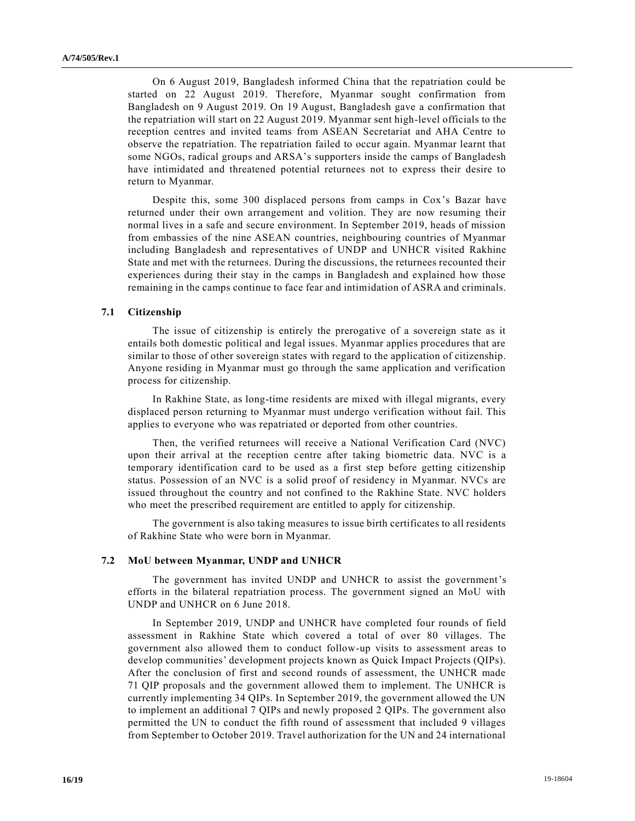On 6 August 2019, Bangladesh informed China that the repatriation could be started on 22 August 2019. Therefore, Myanmar sought confirmation from Bangladesh on 9 August 2019. On 19 August, Bangladesh gave a confirmation that the repatriation will start on 22 August 2019. Myanmar sent high-level officials to the reception centres and invited teams from ASEAN Secretariat and AHA Centre to observe the repatriation. The repatriation failed to occur again. Myanmar learnt that some NGOs, radical groups and ARSA's supporters inside the camps of Bangladesh have intimidated and threatened potential returnees not to express their desire to return to Myanmar.

Despite this, some 300 displaced persons from camps in Cox's Bazar have returned under their own arrangement and volition. They are now resuming their normal lives in a safe and secure environment. In September 2019, heads of mission from embassies of the nine ASEAN countries, neighbouring countries of Myanmar including Bangladesh and representatives of UNDP and UNHCR visited Rakhine State and met with the returnees. During the discussions, the returnees recounted their experiences during their stay in the camps in Bangladesh and explained how those remaining in the camps continue to face fear and intimidation of ASRA and criminals.

### **7.1 Citizenship**

The issue of citizenship is entirely the prerogative of a sovereign state as it entails both domestic political and legal issues. Myanmar applies procedures that are similar to those of other sovereign states with regard to the application of citizenship. Anyone residing in Myanmar must go through the same application and verification process for citizenship.

In Rakhine State, as long-time residents are mixed with illegal migrants, every displaced person returning to Myanmar must undergo verification without fail. This applies to everyone who was repatriated or deported from other countries.

Then, the verified returnees will receive a National Verification Card (NVC) upon their arrival at the reception centre after taking biometric data. NVC is a temporary identification card to be used as a first step before getting citizenship status. Possession of an NVC is a solid proof of residency in Myanmar. NVCs are issued throughout the country and not confined to the Rakhine State. NVC holders who meet the prescribed requirement are entitled to apply for citizenship.

The government is also taking measures to issue birth certificates to all residents of Rakhine State who were born in Myanmar.

#### **7.2 MoU between Myanmar, UNDP and UNHCR**

The government has invited UNDP and UNHCR to assist the government's efforts in the bilateral repatriation process. The government signed an MoU with UNDP and UNHCR on 6 June 2018.

In September 2019, UNDP and UNHCR have completed four rounds of field assessment in Rakhine State which covered a total of over 80 villages. The government also allowed them to conduct follow-up visits to assessment areas to develop communities' development projects known as Quick Impact Projects (QIPs). After the conclusion of first and second rounds of assessment, the UNHCR made 71 QIP proposals and the government allowed them to implement. The UNHCR is currently implementing 34 QIPs. In September 2019, the government allowed the UN to implement an additional 7 QIPs and newly proposed 2 QIPs. The government also permitted the UN to conduct the fifth round of assessment that included 9 villages from September to October 2019. Travel authorization for the UN and 24 international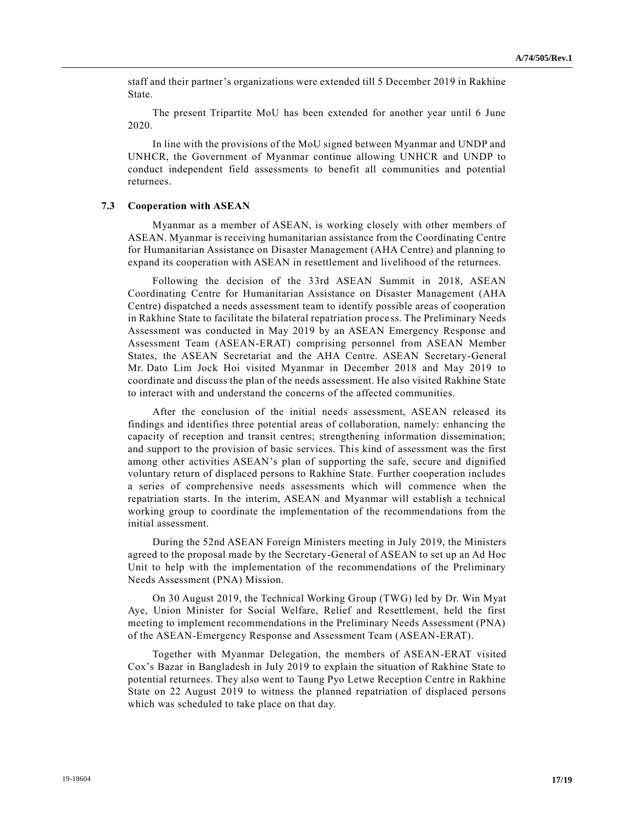staff and their partner's organizations were extended till 5 December 2019 in Rakhine State.

The present Tripartite MoU has been extended for another year until 6 June 2020.

In line with the provisions of the MoU signed between Myanmar and UNDP and UNHCR, the Government of Myanmar continue allowing UNHCR and UNDP to conduct independent field assessments to benefit all communities and potential returnees.

### **7.3 Cooperation with ASEAN**

Myanmar as a member of ASEAN, is working closely with other members of ASEAN. Myanmar is receiving humanitarian assistance from the Coordinating Centre for Humanitarian Assistance on Disaster Management (AHA Centre) and planning to expand its cooperation with ASEAN in resettlement and livelihood of the returnees.

Following the decision of the 33rd ASEAN Summit in 2018, ASEAN Coordinating Centre for Humanitarian Assistance on Disaster Management (AHA Centre) dispatched a needs assessment team to identify possible areas of cooperation in Rakhine State to facilitate the bilateral repatriation process. The Preliminary Needs Assessment was conducted in May 2019 by an ASEAN Emergency Response and Assessment Team (ASEAN-ERAT) comprising personnel from ASEAN Member States, the ASEAN Secretariat and the AHA Centre. ASEAN Secretary-General Mr. Dato Lim Jock Hoi visited Myanmar in December 2018 and May 2019 to coordinate and discuss the plan of the needs assessment. He also visited Rakhine State to interact with and understand the concerns of the affected communities.

After the conclusion of the initial needs assessment, ASEAN released its findings and identifies three potential areas of collaboration, namely: enhancing the capacity of reception and transit centres; strengthening information dissemination; and support to the provision of basic services. This kind of assessment was the first among other activities ASEAN's plan of supporting the safe, secure and dignified voluntary return of displaced persons to Rakhine State. Further cooperation includes a series of comprehensive needs assessments which will commence when the repatriation starts. In the interim, ASEAN and Myanmar will establish a technical working group to coordinate the implementation of the recommendations from the initial assessment.

During the 52nd ASEAN Foreign Ministers meeting in July 2019, the Ministers agreed to the proposal made by the Secretary-General of ASEAN to set up an Ad Hoc Unit to help with the implementation of the recommendations of the Preliminary Needs Assessment (PNA) Mission.

On 30 August 2019, the Technical Working Group (TWG) led by Dr. Win Myat Aye, Union Minister for Social Welfare, Relief and Resettlement, held the first meeting to implement recommendations in the Preliminary Needs Assessment (PNA) of the ASEAN-Emergency Response and Assessment Team (ASEAN-ERAT).

Together with Myanmar Delegation, the members of ASEAN-ERAT visited Cox's Bazar in Bangladesh in July 2019 to explain the situation of Rakhine State to potential returnees. They also went to Taung Pyo Letwe Reception Centre in Rakhine State on 22 August 2019 to witness the planned repatriation of displaced persons which was scheduled to take place on that day.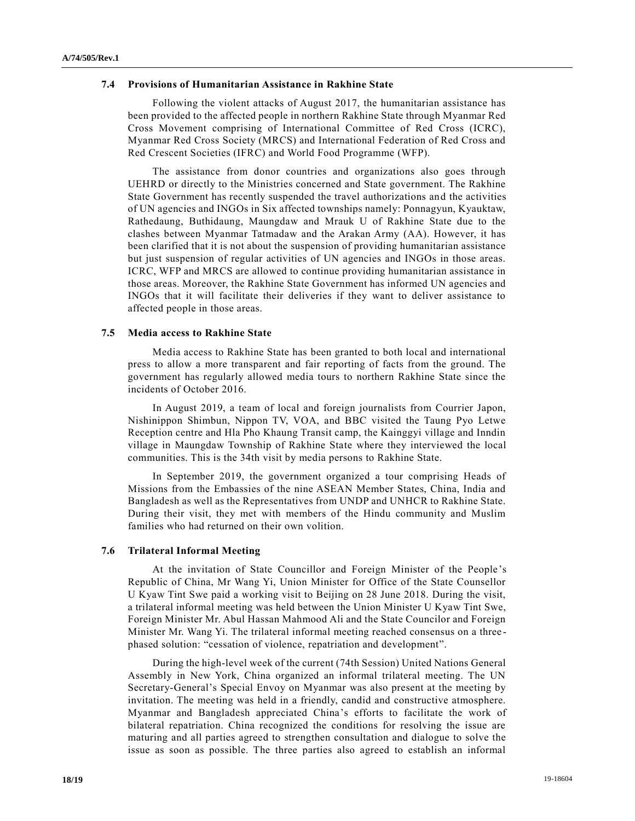### **7.4 Provisions of Humanitarian Assistance in Rakhine State**

Following the violent attacks of August 2017, the humanitarian assistance has been provided to the affected people in northern Rakhine State through Myanmar Red Cross Movement comprising of International Committee of Red Cross (ICRC), Myanmar Red Cross Society (MRCS) and International Federation of Red Cross and Red Crescent Societies (IFRC) and World Food Programme (WFP).

The assistance from donor countries and organizations also goes through UEHRD or directly to the Ministries concerned and State government. The Rakhine State Government has recently suspended the travel authorizations and the activities of UN agencies and INGOs in Six affected townships namely: Ponnagyun, Kyauktaw, Rathedaung, Buthidaung, Maungdaw and Mrauk U of Rakhine State due to the clashes between Myanmar Tatmadaw and the Arakan Army (AA). However, it has been clarified that it is not about the suspension of providing humanitarian assistance but just suspension of regular activities of UN agencies and INGOs in those areas. ICRC, WFP and MRCS are allowed to continue providing humanitarian assistance in those areas. Moreover, the Rakhine State Government has informed UN agencies and INGOs that it will facilitate their deliveries if they want to deliver assistance to affected people in those areas.

### **7.5 Media access to Rakhine State**

Media access to Rakhine State has been granted to both local and international press to allow a more transparent and fair reporting of facts from the ground. The government has regularly allowed media tours to northern Rakhine State since the incidents of October 2016.

In August 2019, a team of local and foreign journalists from Courrier Japon, Nishinippon Shimbun, Nippon TV, VOA, and BBC visited the Taung Pyo Letwe Reception centre and Hla Pho Khaung Transit camp, the Kainggyi village and Inndin village in Maungdaw Township of Rakhine State where they interviewed the local communities. This is the 34th visit by media persons to Rakhine State.

In September 2019, the government organized a tour comprising Heads of Missions from the Embassies of the nine ASEAN Member States, China, India and Bangladesh as well as the Representatives from UNDP and UNHCR to Rakhine State. During their visit, they met with members of the Hindu community and Muslim families who had returned on their own volition.

# **7.6 Trilateral Informal Meeting**

At the invitation of State Councillor and Foreign Minister of the People's Republic of China, Mr Wang Yi, Union Minister for Office of the State Counsellor U Kyaw Tint Swe paid a working visit to Beijing on 28 June 2018. During the visit, a trilateral informal meeting was held between the Union Minister U Kyaw Tint Swe, Foreign Minister Mr. Abul Hassan Mahmood Ali and the State Councilor and Foreign Minister Mr. Wang Yi. The trilateral informal meeting reached consensus on a three phased solution: "cessation of violence, repatriation and development".

During the high-level week of the current (74th Session) United Nations General Assembly in New York, China organized an informal trilateral meeting. The UN Secretary-General's Special Envoy on Myanmar was also present at the meeting by invitation. The meeting was held in a friendly, candid and constructive atmosphere. Myanmar and Bangladesh appreciated China's efforts to facilitate the work of bilateral repatriation. China recognized the conditions for resolving the issue are maturing and all parties agreed to strengthen consultation and dialogue to solve the issue as soon as possible. The three parties also agreed to establish an informal